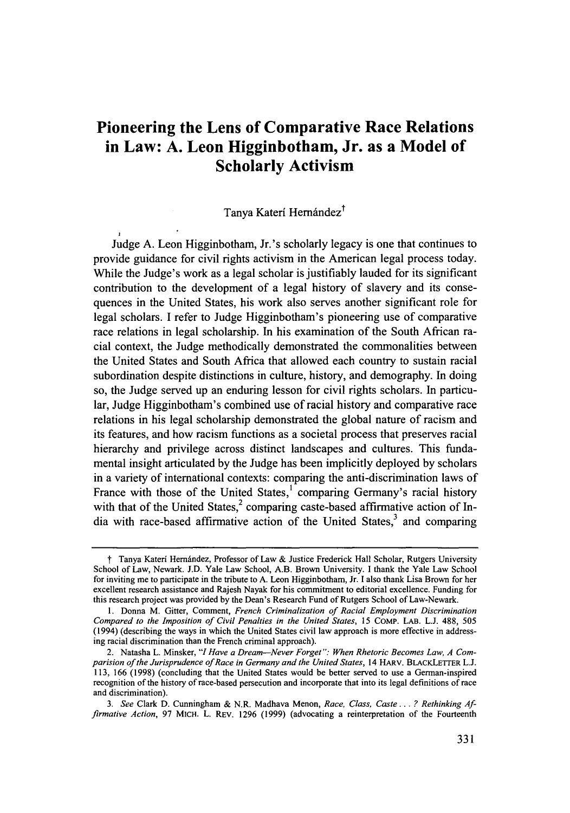# **Pioneering the Lens of Comparative Race Relations in Law: A. Leon Higginbotham, Jr. as a Model of Scholarly Activism**

# Tanya Katerí Hernández<sup>†</sup>

Judge A. Leon Higginbotham, Jr.'s scholarly legacy is one that continues to provide guidance for civil rights activism in the American legal process today. While the Judge's work as a legal scholar is justifiably lauded for its significant contribution to the development of a legal history of slavery and its consequences in the United States, his work also serves another significant role for legal scholars. **I** refer to Judge Higginbotham's pioneering use of comparative race relations in legal scholarship. In his examination of the South African racial context, the Judge methodically demonstrated the commonalities between the United States and South Africa that allowed each country to sustain racial subordination despite distinctions in culture, history, and demography. In doing so, the Judge served up an enduring lesson for civil rights scholars. In particular, Judge Higginbotham's combined use of racial history and comparative race relations in his legal scholarship demonstrated the global nature of racism and its features, and how racism functions as a societal process that preserves racial hierarchy and privilege across distinct landscapes and cultures. This fundamental insight articulated by the Judge has been implicitly deployed by scholars in a variety of international contexts: comparing the anti-discrimination laws of France with those of the United States,<sup>1</sup> comparing Germany's racial history with that of the United States, $2$  comparing caste-based affirmative action of India with race-based affirmative action of the United States, $3$  and comparing

<sup>&</sup>lt;sup>†</sup> Tanya Kateri Hernández, Professor of Law & Justice Frederick Hall Scholar, Rutgers University School of Law, Newark. J.D. Yale Law School, A.B. Brown University. I thank the Yale Law School for inviting me to participate in the tribute to A. Leon Higginbotham, Jr. I also thank Lisa Brown for her excellent research assistance and Rajesh Nayak for his commitment to editorial excellence. Funding for this research project was provided by the Dean's Research Fund of Rutgers School of Law-Newark.

<sup>1.</sup> Donna M. Gitter, Comment, *French Criminalization of Racial Employment Discrimination Compared to the Imposition of Civil Penalties in the United States,* 15 CoMP. LAB. L.J. 488, 505 (1994) (describing the ways in which the United States civil law approach is more effective in addressing racial discrimination than the French criminal approach).

<sup>2.</sup> Natasha L. Minsker, *"I Have a Dream-Never Forget* ": *When Rhetoric Becomes Law, A Comparision of the Jurisprudence of Race in Germany and the United States,* 14 HARv. BLACKLETrER L.J. 113, 166 (1998) (concluding that the United States would be better served to use a German-inspired recognition of the history of race-based persecution and incorporate that into its legal definitions of race and discrimination).

*<sup>3.</sup> See* Clark D. Cunningham & N.R. Madhava Menon, *Race, Class, Caste... ? Rethinking Affirmative Action,* 97 MICH. L. REV. 1296 (1999) (advocating a reinterpretation of the Fourteenth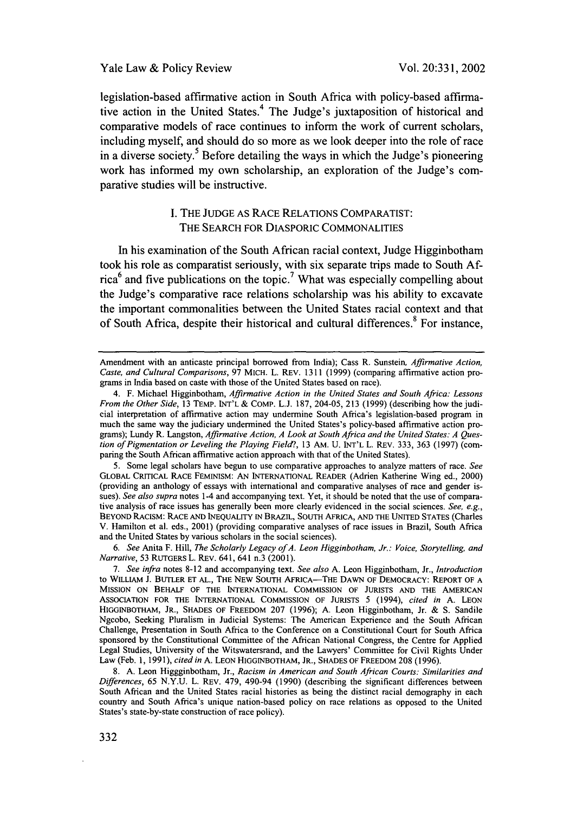Yale Law & Policy Review Vol. 20:331, 2002

legislation-based affirmative action in South Africa with policy-based affirmative action in the United States.4 The Judge's juxtaposition of historical and comparative models of race continues to inform the work of current scholars, including myself, and should do so more as we look deeper into the role of race in a diverse society.<sup>5</sup> Before detailing the ways in which the Judge's pioneering work has informed my own scholarship, an exploration of the Judge's comparative studies will be instructive.

# **1.** THE JUDGE AS RACE RELATIONS COMPARATIST: THE SEARCH FOR DIASPORIC COMMONALITIES

In his examination of the South African racial context, Judge Higginbotham took his role as comparatist seriously, with six separate trips made to South **Africa<sup>6</sup>**and five publications on the topic. 7 What was especially compelling about the Judge's comparative race relations scholarship was his ability to excavate the important commonalities between the United States racial context and that of South Africa, despite their historical and cultural differences.<sup>8</sup> For instance,

Amendment with an anticaste principal borrowed from India); Cass R. Sunstein, *Affirmative Action, Caste, and Cultural Comparisons,* 97 MICH. L. REV. 1311 (1999) (comparing affirmative action programs in India based on caste with those of the United States based on race).

<sup>4.</sup> F. Michael Higginbotham, *Affirmative Action in the United States and South Africa: Lessons From the Other Side,* 13 TEMP. INT'L & COMP. L.J. 187, 204-05, 213 (1999) (describing how the judicial interpretation of affirmative action may undermine South Africa's legislation-based program in much the same way the judiciary undermined the United States's policy-based affirmative action programs); Lundy R. Langston, *Affirmative Action, A Look at South Africa and the United States: A Question of Pigmentation or Leveling the Playing Field?,* 13 AM. U. INT'L L. REV. 333, 363 (1997) (comparing the South African affirmative action approach with that of the United States).

<sup>5.</sup> Some legal scholars have begun to use comparative approaches to analyze matters of race. *See* GLOBAL CRITICAL RACE FEMINISM: AN INTERNATIONAL READER (Adrien Katherine Wing ed., 2000) (providing an anthology of essays with international and comparative analyses of race and gender issues). See also supra notes 1-4 and accompanying text. Yet, it should be noted that the use of comparative analysis of race issues has generally been more clearly evidenced in the social sciences. *See, e.g.,* BEYOND RACISM: RACE AND INEQUALITY IN BRAZIL, SOUTH AFRICA, AND THE UNITED STATES (Charles V. Hamilton et al. eds., 2001) (providing comparative analyses of race issues in Brazil, South Africa and the United States by various scholars in the social sciences).

*<sup>6.</sup> See* Anita F. Hill, *The Scholarly Legacy of A. Leon Higginbotham, Jr.: Voice, Storytelling, and Narrative,* 53 RUTGERS L. REV. 641, 641 n.3 (2001).

*<sup>7.</sup> See infra* notes 8-12 and accompanying text. *See also* A. Leon Higginbotham, Jr., *Introduction* to WILLIAM J. BUTLER ET AL., THE NEW SOUTH AFRICA-THE DAWN OF DEMOCRACY: REPORT OF **A** MISSION ON BEHALF OF THE INTERNATIONAL COMMISSION OF JURISTS AND THE AMERICAN ASSOCIATION FOR THE INTERNATIONAL COMMISSION OF JURISTS 5 (1994), *cited in* A. LEON HIGGINBOTHAM, JR., SHADES OF FREEDOM 207 (1996); A. Leon Higginbotham, Jr. & S. Sandile Ngcobo, Seeking Pluralism in Judicial Systems: The American Experience and the South African Challenge, Presentation in South Africa to the Conference on a Constitutional Court for South Africa sponsored by the Constitutional Committee of the African National Congress, the Centre for Applied Legal Studies, University of the Witswatersrand, and the Lawyers' Committee for Civil Rights Under Law (Feb. 1, 1991), *cited in* A. LEON HIGGINBOTHAM, JR., SHADES OF FREEDOM **208** (1996).

<sup>8.</sup> A. Leon Higgginbotham, Jr., *Racism in American and South African Courts: Similarities and Differences,* 65 N.Y.U. L. REv. 479, 490-94 (1990) (describing the significant differences between South African and the United States racial histories as being the distinct racial demography in each country and South Africa's unique nation-based policy on race relations as opposed to the United States's state-by-state construction of race policy).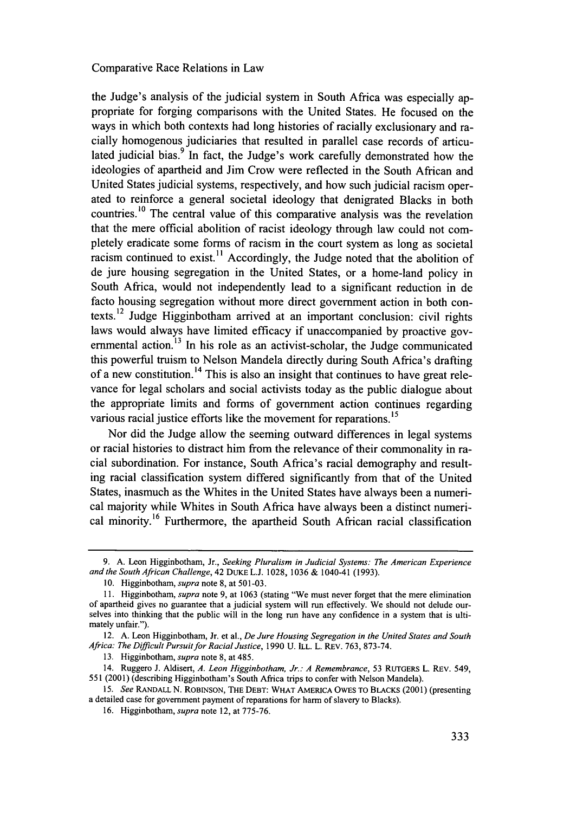the Judge's analysis of the judicial system in South Africa was especially appropriate for forging comparisons with the United States. He focused on the ways in which both contexts had long histories of racially exclusionary and racially homogenous judiciaries that resulted in parallel case records of articulated judicial bias.<sup>9</sup> In fact, the Judge's work carefully demonstrated how the ideologies of apartheid and Jim Crow were reflected in the South African and United States judicial systems, respectively, and how such judicial racism operated to reinforce a general societal ideology that denigrated Blacks in both countries.<sup>10</sup> The central value of this comparative analysis was the revelation that the mere official abolition of racist ideology through law could not completely eradicate some forms of racism in the court system as long as societal racism continued to exist.<sup>11</sup> Accordingly, the Judge noted that the abolition of de jure housing segregation in the United States, or a home-land policy in South Africa, would not independently lead to a significant reduction in de facto housing segregation without more direct government action in both contexts.<sup>12</sup> Judge Higginbotham arrived at an important conclusion: civil rights laws would always have limited efficacy if unaccompanied by proactive governmental action.<sup>13</sup> In his role as an activist-scholar, the Judge communicated this powerful truism to Nelson Mandela directly during South Africa's drafting of a new constitution.<sup>14</sup> This is also an insight that continues to have great relevance for legal scholars and social activists today as the public dialogue about the appropriate limits and forms of government action continues regarding various racial justice efforts like the movement for reparations.<sup>15</sup>

Nor did the Judge allow the seeming outward differences in legal systems or racial histories to distract him from the relevance of their commonality in racial subordination. For instance, South Africa's racial demography and resulting racial classification system differed significantly from that of the United States, inasmuch as the Whites in the United States have always been a numerical majority while Whites in South Africa have always been a distinct numerical minority.<sup>16</sup> Furthermore, the apartheid South African racial classification

13. Higginbotham, *supra* note 8, at 485.

<sup>9.</sup> A. Leon Higginbotham, Jr., *Seeking Pluralism in Judicial Systems: The American Experience and the South African Challenge, 42* **DuKE** L.J. 1028, 1036 & 1040-41 (1993).

<sup>10.</sup> Higginbotham, *supra* note 8, at 501-03.

<sup>11.</sup> Higginbotham, *supra* note 9, at 1063 (stating "We must never forget that the mere elimination of apartheid gives no guarantee that a judicial system will run effectively. We should not delude our- selves into thinking that the public will in the long run have any confidence in a system that is ultimately unfair.").

<sup>12.</sup> A. Leon Higginbotham, Jr. et al., *De Jure Housing Segregation in the United States and South Africa: The Difficult Pursuit for Racial Justice,* 1990 U. ILL. L. REv. 763, 873-74.

<sup>14.</sup> Ruggero J. Aldisert, *A. Leon Higginbotham, Jr.: A Remembrance,* **53** RUTGERS L. REv. 549, 551 (2001) (describing Higginbotham's South Africa trips to confer with Nelson Mandela).

*<sup>15.</sup> See* RANDALL N. ROBINSON, THE DEBT: WHAT AMERICA OWES TO BLACKS (2001) (presenting a detailed case for government payment of reparations for harm of slavery to Blacks).

<sup>16.</sup> Higginbotham, *supra* note 12, at 775-76.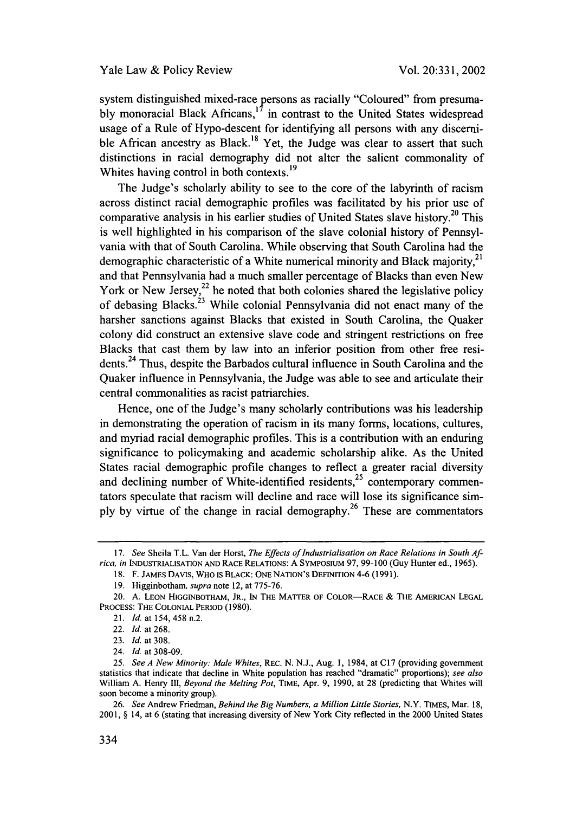system distinguished mixed-race persons as racially "Coloured" from presumably monoracial Black Africans,<sup>17</sup> in contrast to the United States widespread usage of a Rule of Hypo-descent for identifying all persons with any discernible African ancestry as Black.<sup>18</sup> Yet, the Judge was clear to assert that such distinctions in racial demography did not alter the salient commonality of Whites having control in both contexts.<sup>19</sup>

The Judge's scholarly ability to see to the core of the labyrinth of racism across distinct racial demographic profiles was facilitated by his prior use of comparative analysis in his earlier studies of United States slave history.<sup>20</sup> This is well highlighted in his comparison of the slave colonial history of Pennsylvania with that of South Carolina. While observing that South Carolina had the demographic characteristic of a White numerical minority and Black majority, $2<sup>1</sup>$ and that Pennsylvania had a much smaller percentage of Blacks than even New York or New Jersey,  $^{22}$  he noted that both colonies shared the legislative policy of debasing Blacks.<sup>23</sup> While colonial Pennsylvania did not enact many of the harsher sanctions against Blacks that existed in South Carolina, the Quaker colony did construct an extensive slave code and stringent restrictions on free Blacks that cast them by law into an inferior position from other free residents. 24 Thus, despite the Barbados cultural influence in South Carolina and the Quaker influence in Pennsylvania, the Judge was able to see and articulate their central commonalities as racist patriarchies.

Hence, one of the Judge's many scholarly contributions was his leadership in demonstrating the operation of racism in its many forms, locations, cultures, and myriad racial demographic profiles. This is a contribution with an enduring significance to policymaking and academic scholarship alike. As the United States racial demographic profile changes to reflect a greater racial diversity and declining number of White-identified residents,  $2^5$  contemporary commentators speculate that racism will decline and race will lose its significance sim-**<sup>26</sup>** ply by virtue of the change in racial demography. These are commentators

<sup>17.</sup> *See* Sheila T.L. Van der Horst, *The Effects of Industrialisation on Race Relations in South Africa, in* INDUSTRIALISATION AND RACE RELATIONS: A SYMPoSIuM 97, 99-100 (Guy Hunter ed., 1965).

<sup>18.</sup> F. JAMES DAVIS, WHO IS BLACK: ONE NATION'S DEFINITION 4-6 (1991).

<sup>19.</sup> Higginbotham, *supra* note 12, at 775-76.

<sup>20.</sup> A. LEON HIGGINBOTHAM, JR., IN THE MATTER OF COLOR-RACE & THE AMERICAN LEGAL PROCESS: THE COLONIAL PERIOD (1980).

<sup>21.</sup> *Id.* at 154, 458 n.2.

<sup>22.</sup> *Id.* at 268.

<sup>23.</sup> *Id.* at 308.

<sup>24.</sup> *Id.* at 308-09.

<sup>25.</sup> See A New Minority: Male Whites, REC. N. N.J., Aug. 1, 1984, at C17 (providing government statistics that indicate that decline in White population has reached "dramatic" proportions); *see also* William A. Henry *1l, Beyond the Melting Pot,* TIME, Apr. 9, 1990, at 28 (predicting that Whites will soon become a minority group).

<sup>26.</sup> *See* Andrew Friedman, *Behind the Big Numbers, a Million Little Stories,* N.Y. TIMES, Mar. 18, 2001, § 14, at 6 (stating that increasing diversity of New York City reflected in the 2000 United States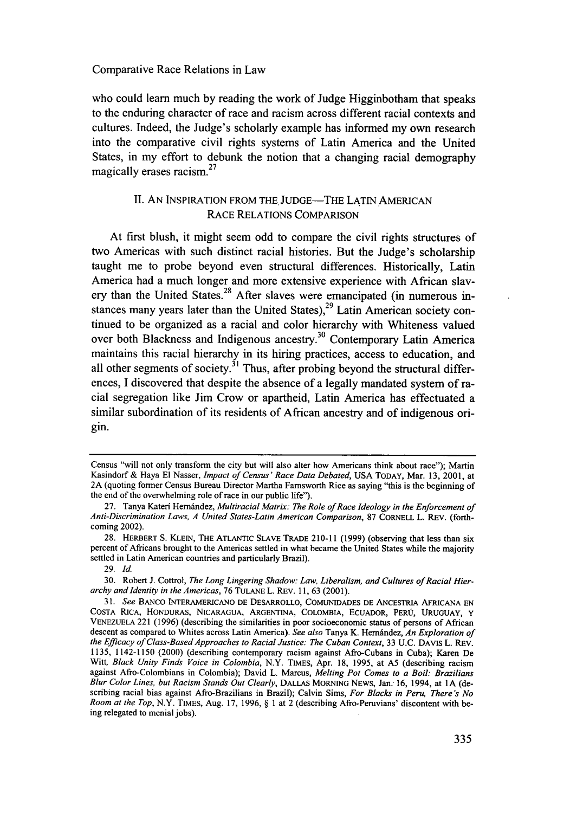who could learn much **by** reading the work of Judge Higginbotham that speaks to the enduring character of race and racism across different racial contexts and cultures. Indeed, the Judge's scholarly example has informed my own research into the comparative civil rights systems of Latin America and the United States, in my effort to debunk the notion that a changing racial demography magically erases racism. <sup>27</sup>

# II. AN INSPIRATION FROM THE JUDGE-THE LATIN AMERICAN RACE RELATIONS COMPARISON

At first blush, it might seem odd to compare the civil rights structures of two Americas with such distinct racial histories. But the Judge's scholarship taught me to probe beyond even structural differences. Historically, Latin America had a much longer and more extensive experience with African slavery than the United States.<sup>28</sup> After slaves were emancipated (in numerous instances many years later than the United States),  $29$  Latin American society continued to be organized as a racial and color hierarchy with Whiteness valued over both Blackness and Indigenous ancestry.<sup>30</sup> Contemporary Latin America maintains this racial hierarchy in its hiring practices, access to education, and all other segments of society. $3<sup>1</sup>$  Thus, after probing beyond the structural differences, **I** discovered that despite the absence of a legally mandated system of racial segregation like Jim Crow or apartheid, Latin America has effectuated a similar subordination of its residents of African ancestry and of indigenous origin.

Census "will not only transform the city but will also alter how Americans think about race"); Martin Kasindorf & Haya El Nasser, *Impact of Census' Race Data Debated,* USA TODAY, Mar. 13, 2001, at 2A (quoting former Census Bureau Director Martha Farnsworth Rice as saying "this is the beginning of the end of the overwhelming role of race in our public life").

<sup>27.</sup> Tanya Kateri Hernández, *Multiracial Matrix: The Role of Race Ideology in the Enforcement of Anti-Discrimination Laws, A United States-Latin American Comparison,* 87 CORNELL L. REV. (forthcoming 2002).

<sup>28.</sup> HERBERT **S.** KLEIN, THE ATLANTIC SLAVE TRADE 210-11 (1999) (observing that less than six percent of Africans brought to the Americas settled in what became the United States while the majority settled in Latin American countries and particularly Brazil).

<sup>29.</sup> Id.

<sup>30.</sup> Robert J. Cottrol, *The Long Lingering Shadow: Law, Liberalism, and Cultures of Racial Hier*archy and Identity in the Americas, 76 TULANE L. REV. 11, 63 (2001).

*<sup>31.</sup> See* **BANCO** INTERAMERICANO DE DESARROLLO, COMUNIDADES DE ANCESTRIA AFRICANA EN COSTA RICA, HONDURAS, NICARAGUA, ARGENTINA, COLOMBIA, ECUADOR, PERU, URUGUAY, <sup>Y</sup> VENEZUELA 221 (1996) (describing the similarities in poor socioeconomic status of persons of African descent as compared to Whites across Latin America). *See also* Tanya K. Hemindez, *An Exploration of the Efficacy of Class-Based Approaches to Racial Justice: The Cuban Context,* 33 U.C. DAVIS L. REV. 1135, 1142-1150 (2000) (describing contemporary racism against Afro-Cubans in Cuba); Karen De Witt, *Black Unity Finds Voice in Colombia,* N.Y. TIMES, Apr. 18, 1995, at **A5** (describing racism against Afro-Colombians in Colombia); David L. Marcus, *Melting Pot Comes to a Boil: Brazilians Blur Color Lines, but Racism Stands Out Clearly,* **DALLAS** MORNING **NEWS,** Jan. 16, 1994, at 1 A (describing racial bias against Afro-Brazilians in Brazil); Calvin Sims, *For Blacks in Peru, There's No Room at the Top,* N.Y. TIMES, Aug. 17, 1996, § 1 at 2 (describing Afro-Peruvians' discontent with being relegated to menial jobs).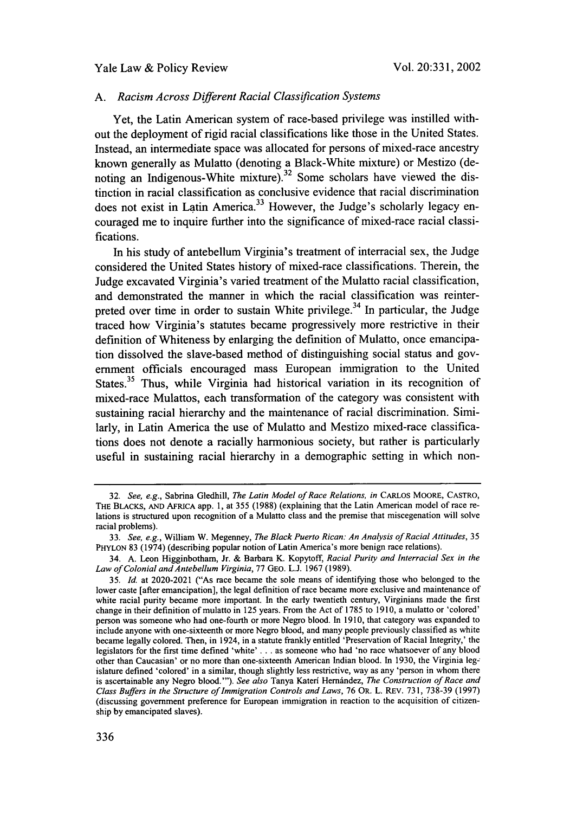#### *A. Racism Across Different Racial Classification Systems*

Yet, the Latin American system of race-based privilege was instilled without the deployment of rigid racial classifications like those in the United States. Instead, an intermediate space was allocated for persons of mixed-race ancestry known generally as Mulatto (denoting a Black-White mixture) or Mestizo (denoting an Indigenous-White mixture).<sup>32</sup> Some scholars have viewed the distinction in racial classification as conclusive evidence that racial discrimination does not exist in Latin America.<sup>33</sup> However, the Judge's scholarly legacy encouraged me to inquire further into the significance of mixed-race racial classifications.

In his study of antebellum Virginia's treatment of interracial sex, the Judge considered the United States history of mixed-race classifications. Therein, the Judge excavated Virginia's varied treatment of the Mulatto racial classification, and demonstrated the manner in which the racial classification was reinterpreted over time in order to sustain White privilege.<sup>34</sup> In particular, the Judge traced how Virginia's statutes became progressively more restrictive in their definition of Whiteness **by** enlarging the definition of Mulatto, once emancipation dissolved the slave-based method of distinguishing social status and government officials encouraged mass European immigration to the United States.<sup>35</sup> Thus, while Virginia had historical variation in its recognition of mixed-race Mulattos, each transformation of the category was consistent with sustaining racial hierarchy and the maintenance of racial discrimination. Similarly, in Latin America the use of Mulatto and Mestizo mixed-race classifications does not denote a racially harmonious society, but rather is particularly useful in sustaining racial hierarchy in a demographic setting in which non-

<sup>32.</sup> *See, e.g.,* Sabrina Gledhill, *The Latin Model of Race Relations, in* CARLOS MOORE, CASTRO, THE BLACKS, **AND** AFRICA app. 1, at 355 (1988) (explaining that the Latin American model of race relations is structured upon recognition of a Mulatto class and the premise that miscegenation will solve racial problems).

<sup>33.</sup> *See, e.g.,* William W. Megenney, *The Black Puerto Rican: An Analysis of Racial Attitudes,* 35 PHYLON 83 (1974) (describing popular notion of Latin America's more benign race relations).

<sup>34.</sup> A. Leon Higginbotham, Jr. & Barbara K. Kopytoff, *Racial Purity and Interracial Sex in the Law of Colonial and Antebellum Virginia,* 77 GEO. L.J. 1967 (1989).

*<sup>35.</sup> Id.* at 2020-2021 ("As race became the sole means of identifying those who belonged to the lower caste [after emancipation], the legal definition of race became more exclusive and maintenance of **white** racial purity became more important. In the early twentieth century, Virginians made the first change in their definition of mulatto in 125 years. From the Act of 1785 to 1910, a mulatto or 'colored' person was someone who had one-fourth or more Negro blood. In 1910, that category was expanded to include anyone with one-sixteenth or more Negro blood, and many people previously classified as white became legally colored. Then, in 1924, in a statute frankly entitled 'Preservation of Racial Integrity,' the legislators for the first time defined 'white'. **.** . as someone who had 'no race whatsoever of any blood other than Caucasian' or no more than one-sixteenth American Indian blood. In 1930, the Virginia legislature defined 'colored' in a similar, though slightly less restrictive, way as any 'person in whom there is ascertainable any Negro blood.""). See also Tanya Kateri Hernández, The Construction of Race and *Class Buffers in the Structure of Immigration Controls and Laws,* 76 OR. L. REv. 731, 738-39 (1997) (discussing government preference for European immigration in reaction to the acquisition of citizenship **by** emancipated slaves).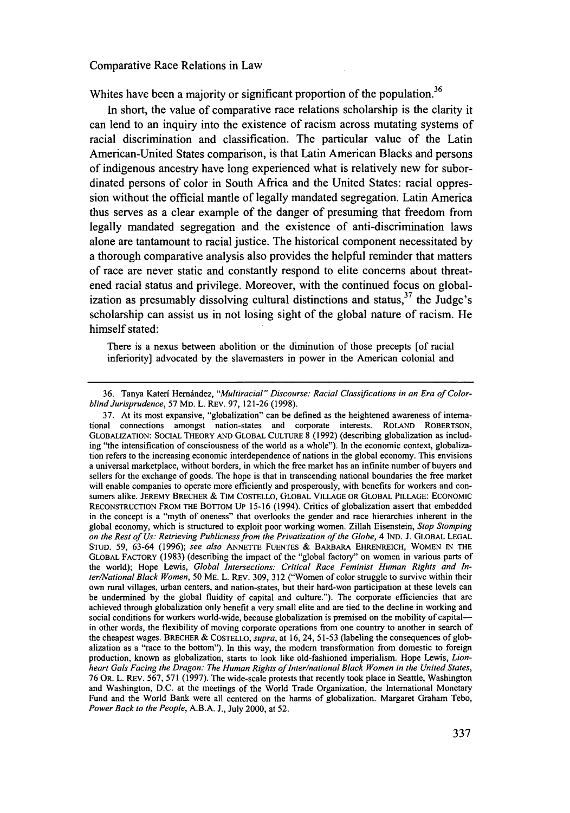Whites have been a majority or significant proportion of the population.<sup>36</sup>

In short, the value of comparative race relations scholarship is the clarity it can lend to an inquiry into the existence of racism across mutating systems of racial discrimination and classification. The particular value of the Latin American-United States comparison, is that Latin American Blacks and persons of indigenous ancestry have long experienced what is relatively new for subordinated persons of color in South Africa and the United States: racial oppression without the official mantle of legally mandated segregation. Latin America thus serves as a clear example of the danger of presuming that freedom from legally mandated segregation and the existence of anti-discrimination laws alone are tantamount to racial justice. The historical component necessitated **by** a thorough comparative analysis also provides the helpful reminder that matters of race are never static and constantly respond to elite concerns about threatened racial status and privilege. Moreover, with the continued focus on globalization as presumably dissolving cultural distinctions and status, $37$  the Judge's scholarship can assist us in not losing sight of the global nature of racism. He himself stated:

There is a nexus between abolition or the diminution of those precepts [of racial inferiority] advocated by the slavemasters in power in the American colonial and

<sup>36.</sup> Tanya Kateri Hernández, "Multiracial" Discourse: Racial Classifications in an Era of Color*blind Jurisprudence,* 57 MD. L. REv. 97, 121-26 (1998).

<sup>37.</sup> At its most expansive, "globalization" can be defined as the heightened awareness of intemational connections amongst nation-states and corporate interests. ROLAND ROBERTSON, GLOBALIZATION: SOCIAL THEORY AND GLOBAL **CULTURE 8** (1992) (describing globalization as including "the intensification of consciousness of the world as a whole"). In the economic context, globalization refers to the increasing economic interdependence of nations in the global economy. This envisions a universal marketplace, without borders, in which the free market has an infinite number of buyers and sellers for the exchange of goods. The hope is that in transcending national boundaries the free market will enable companies to operate more efficiently and prosperously, with benefits for workers and consumers alike. JEREMY BRECHER & TiM COSTELLO, GLOBAL VILLAGE OR GLOBAL PILLAGE: ECONOMIC RECONSTRUCTION FROM THE BOTTOM **UP 15-16** (1994). Critics of globalization assert that embedded in the concept is a "myth of oneness" that overlooks the gender and race hierarchies inherent in the global economy, which is structured to exploit poor working women. Zillah Eisenstein, *Stop Stomping on the Rest of Us: Retrieving Publicness from the Privatization of the Globe,* 4 **IND.** J. GLOBAL LEGAL STUD. 59, 63-64 (1996); *see also* ANNETTE FUENTES & BARBARA EHRENREICH, WOMEN IN THE GLOBAL FACTORY (1983) (describing the impact of the "global factory" on women in various parts of the world); Hope Lewis, *Global Intersections: Critical Race Feminist Human Rights and Inter/National Black Women,* 50 ME. L. REv. 309, 312 ("Women of color struggle to survive within their own rural villages, urban centers, and nation-states, but their hard-won participation at these levels can be undermined by the global fluidity of capital and culture."). The corporate efficiencies that are achieved through globalization only benefit a very small elite and are tied to the decline in working and social conditions for workers world-wide, because globalization is premised on the mobility of capitalin other words, the flexibility of moving corporate operations from one country to another in search of the cheapest wages. BRECHER **&** COSTELLO, *supra,* at 16, 24, 51-53 (labeling the consequences of globalization as a "race to the bottom"). In this way, the modem transformation from domestic to foreign production, known as globalization, starts to look like old-fashioned imperialism. Hope Lewis, *Lionheart Gals Facing the Dragon: The Human Rights of Inter/national Black Women in the United States,* 76 OR. L. REV. 567, 571 (1997). The wide-scale protests that recently took place in Seattle, Washington and Washington, D.C. at the meetings of the World Trade Organization, the International Monetary Fund and the World Bank were all centered on the harms of globalization. Margaret Graham Tebo, *Power Back to the People,* A.B.A. J., July 2000, at 52.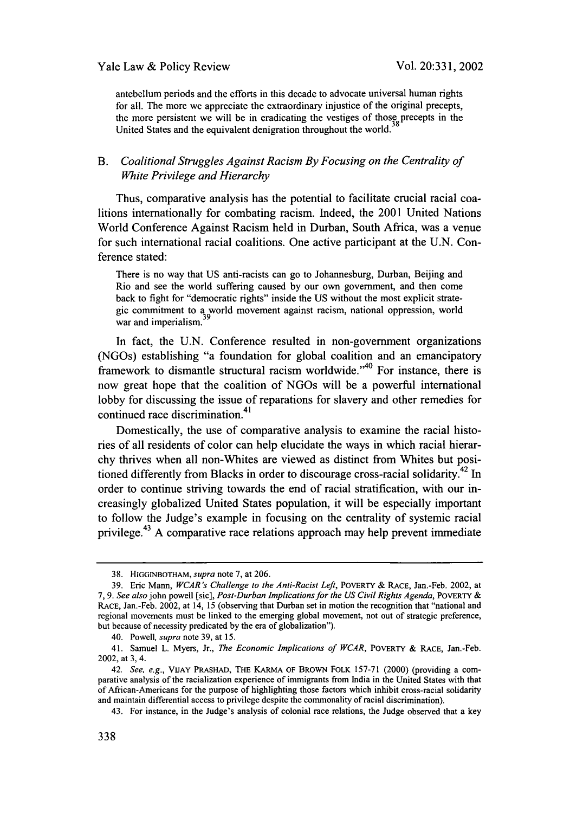Yale Law & Policy Review

antebellum periods and the efforts in this decade to advocate universal human rights for all. The more we appreciate the extraordinary injustice of the original precepts, the more persistent we will be in eradicating the vestiges of those precepts in the United States and the equivalent denigration throughout the world.

# *B. Coalitional Struggles Against Racism By Focusing on the Centrality of White Privilege and Hierarchy*

Thus, comparative analysis has the potential to facilitate crucial racial coalitions internationally for combating racism. Indeed, the 2001 United Nations World Conference Against Racism held in Durban, South Africa, was a venue for such international racial coalitions. One active participant at the U.N. Conference stated:

There is no way that US anti-racists can go to Johannesburg, Durban, Beijing and Rio and see the world suffering caused by our own government, and then come back to fight for "democratic rights" inside the US without the most explicit strategic commitment to a world movement against racism, national oppression, world war and imperialism.

In fact, the U.N. Conference resulted in non-government organizations (NGOs) establishing "a foundation for global coalition and an emancipatory framework to dismantle structural racism worldwide. $140$  For instance, there is now great hope that the coalition of NGOs will be a powerful international lobby for discussing the issue of reparations for slavery and other remedies for continued race discrimination.<sup>41</sup>

Domestically, the use of comparative analysis to examine the racial histories of all residents of color can help elucidate the ways in which racial hierarchy thrives when all non-Whites are viewed as distinct from Whites but positioned differently from Blacks in order to discourage cross-racial solidarity.<sup>42</sup> In order to continue striving towards the end of racial stratification, with our increasingly globalized United States population, it will be especially important to follow the Judge's example in focusing on the centrality of systemic racial privilege.<sup>43</sup> A comparative race relations approach may help prevent immediate

<sup>38.</sup> HIGGINBOTHAM, *supra* note 7, at 206.

<sup>39.</sup> Eric Mann, *WCAR 's Challenge to the Anti-Racist Left,* POVERTY & RACE, Jan.-Feb. 2002, at 7, 9. *See also* john powell [sic], *Post-Durban Implications for the US Civil Rights Agenda,* POVERTY & RACE, Jan.-Feb. 2002, at 14, 15 (observing that Durban set in motion the recognition that "national and regional movements must be linked to the emerging global movement, not out of strategic preference, but because of necessity predicated by the era of globalization").

<sup>40.</sup> Powell, *supra* note 39, at 15.

<sup>41.</sup> Samuel L. Myers, Jr., *The Economic Implications of WCAR,* POVERTY & RACE, Jan.-Feb. 2002, at 3, 4.

<sup>42.</sup> *See, e.g.,* VIJAY PRASHAD, THE KARMA OF BROWN FOLK 157-71 (2000) (providing a comparative analysis of the racialization experience of immigrants from India in the United States with that of African-Americans for the purpose of highlighting those factors which inhibit cross-racial solidarity and maintain differential access to privilege despite the commonality of racial discrimination).

<sup>43.</sup> For instance, in the Judge's analysis of colonial race relations, the Judge observed that a key